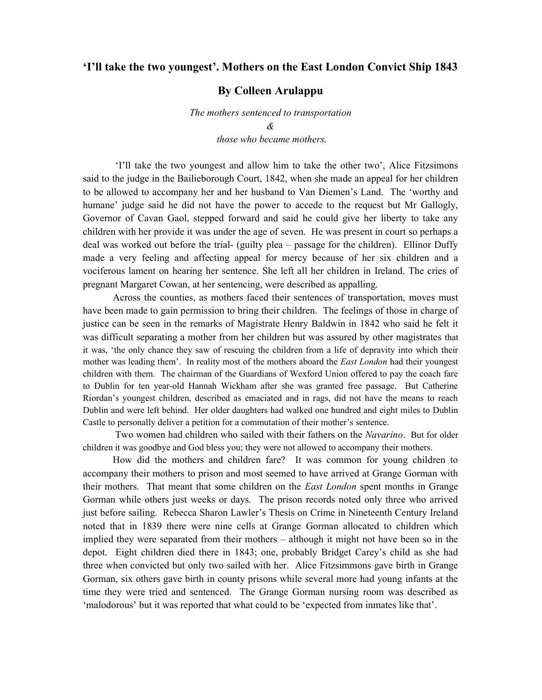## 'I'll take the two youngest'. Mothers on the East London Convict Ship 1843

## By Colleen Arulappu

The mothers sentenced to transportation & those who became mothers.

 'I'll take the two youngest and allow him to take the other two', Alice Fitzsimons said to the judge in the Bailieborough Court, 1842, when she made an appeal for her children to be allowed to accompany her and her husband to Van Diemen's Land. The 'worthy and humane' judge said he did not have the power to accede to the request but Mr Gallogly, Governor of Cavan Gaol, stepped forward and said he could give her liberty to take any children with her provide it was under the age of seven. He was present in court so perhaps a deal was worked out before the trial- (guilty plea – passage for the children). Ellinor Duffy made a very feeling and affecting appeal for mercy because of her six children and a vociferous lament on hearing her sentence. She left all her children in Ireland. The cries of pregnant Margaret Cowan, at her sentencing, were described as appalling.

Across the counties, as mothers faced their sentences of transportation, moves must have been made to gain permission to bring their children. The feelings of those in charge of justice can be seen in the remarks of Magistrate Henry Baldwin in 1842 who said he felt it was difficult separating a mother from her children but was assured by other magistrates that it was, 'the only chance they saw of rescuing the children from a life of depravity into which their mother was leading them'. In reality most of the mothers aboard the *East London* had their youngest children with them. The chairman of the Guardians of Wexford Union offered to pay the coach fare to Dublin for ten year-old Hannah Wickham after she was granted free passage. But Catherine Riordan's youngest children, described as emaciated and in rags, did not have the means to reach Dublin and were left behind. Her older daughters had walked one hundred and eight miles to Dublin Castle to personally deliver a petition for a commutation of their mother's sentence.

Two women had children who sailed with their fathers on the *Navarino*. But for older children it was goodbye and God bless you; they were not allowed to accompany their mothers.

How did the mothers and children fare? It was common for young children to accompany their mothers to prison and most seemed to have arrived at Grange Gorman with their mothers. That meant that some children on the *East London* spent months in Grange Gorman while others just weeks or days. The prison records noted only three who arrived just before sailing. Rebecca Sharon Lawler's Thesis on Crime in Nineteenth Century Ireland noted that in 1839 there were nine cells at Grange Gorman allocated to children which implied they were separated from their mothers – although it might not have been so in the depot. Eight children died there in 1843; one, probably Bridget Carey's child as she had three when convicted but only two sailed with her. Alice Fitzsimmons gave birth in Grange Gorman, six others gave birth in county prisons while several more had young infants at the time they were tried and sentenced. The Grange Gorman nursing room was described as 'malodorous' but it was reported that what could to be 'expected from inmates like that'.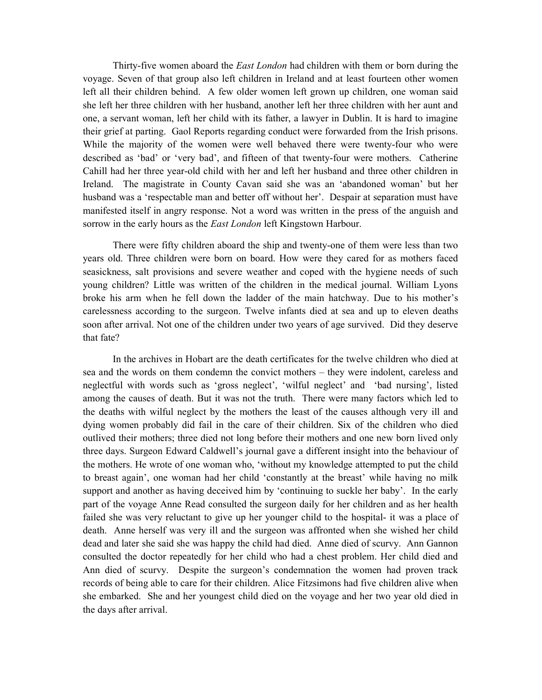Thirty-five women aboard the East London had children with them or born during the voyage. Seven of that group also left children in Ireland and at least fourteen other women left all their children behind. A few older women left grown up children, one woman said she left her three children with her husband, another left her three children with her aunt and one, a servant woman, left her child with its father, a lawyer in Dublin. It is hard to imagine their grief at parting. Gaol Reports regarding conduct were forwarded from the Irish prisons. While the majority of the women were well behaved there were twenty-four who were described as 'bad' or 'very bad', and fifteen of that twenty-four were mothers. Catherine Cahill had her three year-old child with her and left her husband and three other children in Ireland. The magistrate in County Cavan said she was an 'abandoned woman' but her husband was a 'respectable man and better off without her'. Despair at separation must have manifested itself in angry response. Not a word was written in the press of the anguish and sorrow in the early hours as the *East London* left Kingstown Harbour.

There were fifty children aboard the ship and twenty-one of them were less than two years old. Three children were born on board. How were they cared for as mothers faced seasickness, salt provisions and severe weather and coped with the hygiene needs of such young children? Little was written of the children in the medical journal. William Lyons broke his arm when he fell down the ladder of the main hatchway. Due to his mother's carelessness according to the surgeon. Twelve infants died at sea and up to eleven deaths soon after arrival. Not one of the children under two years of age survived. Did they deserve that fate?

In the archives in Hobart are the death certificates for the twelve children who died at sea and the words on them condemn the convict mothers – they were indolent, careless and neglectful with words such as 'gross neglect', 'wilful neglect' and 'bad nursing', listed among the causes of death. But it was not the truth. There were many factors which led to the deaths with wilful neglect by the mothers the least of the causes although very ill and dying women probably did fail in the care of their children. Six of the children who died outlived their mothers; three died not long before their mothers and one new born lived only three days. Surgeon Edward Caldwell's journal gave a different insight into the behaviour of the mothers. He wrote of one woman who, 'without my knowledge attempted to put the child to breast again', one woman had her child 'constantly at the breast' while having no milk support and another as having deceived him by 'continuing to suckle her baby'. In the early part of the voyage Anne Read consulted the surgeon daily for her children and as her health failed she was very reluctant to give up her younger child to the hospital- it was a place of death. Anne herself was very ill and the surgeon was affronted when she wished her child dead and later she said she was happy the child had died. Anne died of scurvy. Ann Gannon consulted the doctor repeatedly for her child who had a chest problem. Her child died and Ann died of scurvy. Despite the surgeon's condemnation the women had proven track records of being able to care for their children. Alice Fitzsimons had five children alive when she embarked. She and her youngest child died on the voyage and her two year old died in the days after arrival.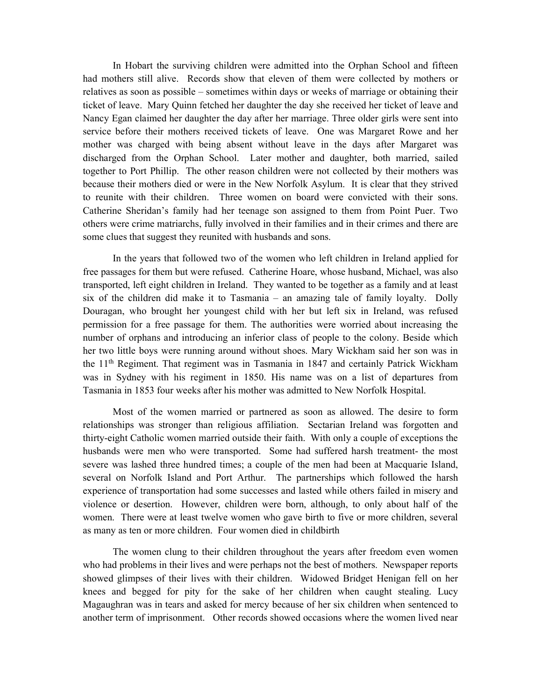In Hobart the surviving children were admitted into the Orphan School and fifteen had mothers still alive. Records show that eleven of them were collected by mothers or relatives as soon as possible – sometimes within days or weeks of marriage or obtaining their ticket of leave. Mary Quinn fetched her daughter the day she received her ticket of leave and Nancy Egan claimed her daughter the day after her marriage. Three older girls were sent into service before their mothers received tickets of leave. One was Margaret Rowe and her mother was charged with being absent without leave in the days after Margaret was discharged from the Orphan School. Later mother and daughter, both married, sailed together to Port Phillip. The other reason children were not collected by their mothers was because their mothers died or were in the New Norfolk Asylum. It is clear that they strived to reunite with their children. Three women on board were convicted with their sons. Catherine Sheridan's family had her teenage son assigned to them from Point Puer. Two others were crime matriarchs, fully involved in their families and in their crimes and there are some clues that suggest they reunited with husbands and sons.

In the years that followed two of the women who left children in Ireland applied for free passages for them but were refused. Catherine Hoare, whose husband, Michael, was also transported, left eight children in Ireland. They wanted to be together as a family and at least six of the children did make it to Tasmania – an amazing tale of family loyalty. Dolly Douragan, who brought her youngest child with her but left six in Ireland, was refused permission for a free passage for them. The authorities were worried about increasing the number of orphans and introducing an inferior class of people to the colony. Beside which her two little boys were running around without shoes. Mary Wickham said her son was in the 11<sup>th</sup> Regiment. That regiment was in Tasmania in 1847 and certainly Patrick Wickham was in Sydney with his regiment in 1850. His name was on a list of departures from Tasmania in 1853 four weeks after his mother was admitted to New Norfolk Hospital.

Most of the women married or partnered as soon as allowed. The desire to form relationships was stronger than religious affiliation. Sectarian Ireland was forgotten and thirty-eight Catholic women married outside their faith. With only a couple of exceptions the husbands were men who were transported. Some had suffered harsh treatment- the most severe was lashed three hundred times; a couple of the men had been at Macquarie Island, several on Norfolk Island and Port Arthur. The partnerships which followed the harsh experience of transportation had some successes and lasted while others failed in misery and violence or desertion. However, children were born, although, to only about half of the women. There were at least twelve women who gave birth to five or more children, several as many as ten or more children. Four women died in childbirth

The women clung to their children throughout the years after freedom even women who had problems in their lives and were perhaps not the best of mothers. Newspaper reports showed glimpses of their lives with their children. Widowed Bridget Henigan fell on her knees and begged for pity for the sake of her children when caught stealing. Lucy Magaughran was in tears and asked for mercy because of her six children when sentenced to another term of imprisonment. Other records showed occasions where the women lived near